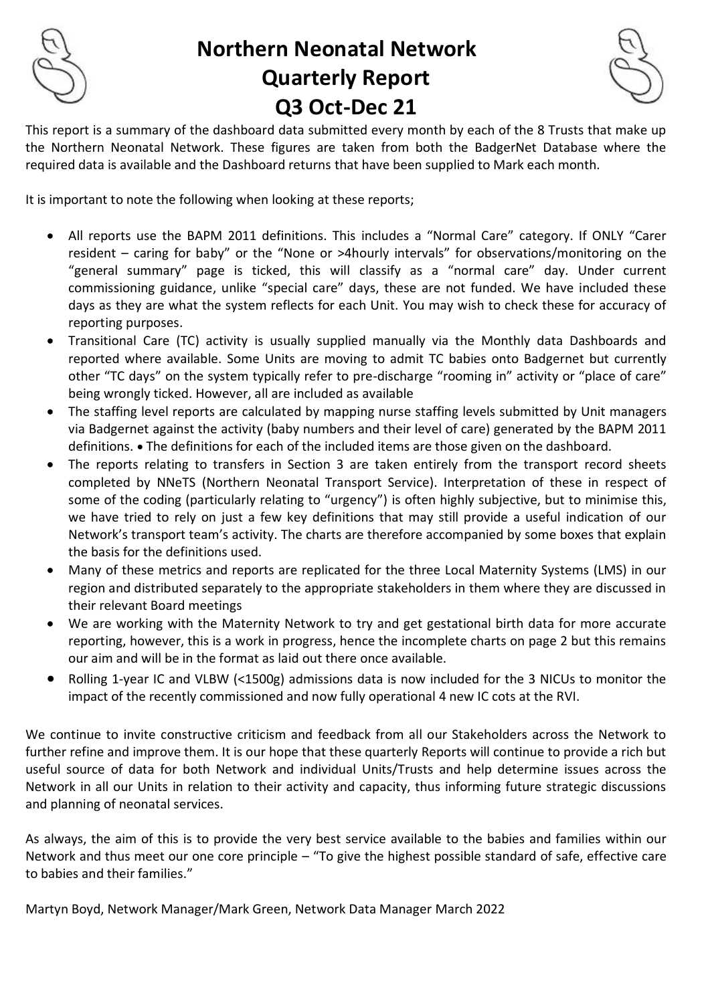

# **Northern Neonatal Network Quarterly Report Q3 Oct-Dec 21**

This report is a summary of the dashboard data submitted every month by each of the 8 Trusts that make up the Northern Neonatal Network. These figures are taken from both the BadgerNet Database where the required data is available and the Dashboard returns that have been supplied to Mark each month.

It is important to note the following when looking at these reports;

- All reports use the BAPM 2011 definitions. This includes a "Normal Care" category. If ONLY "Carer resident – caring for baby" or the "None or >4hourly intervals" for observations/monitoring on the "general summary" page is ticked, this will classify as a "normal care" day. Under current commissioning guidance, unlike "special care" days, these are not funded. We have included these days as they are what the system reflects for each Unit. You may wish to check these for accuracy of reporting purposes.
- Transitional Care (TC) activity is usually supplied manually via the Monthly data Dashboards and reported where available. Some Units are moving to admit TC babies onto Badgernet but currently other "TC days" on the system typically refer to pre-discharge "rooming in" activity or "place of care" being wrongly ticked. However, all are included as available
- The staffing level reports are calculated by mapping nurse staffing levels submitted by Unit managers via Badgernet against the activity (baby numbers and their level of care) generated by the BAPM 2011 definitions. • The definitions for each of the included items are those given on the dashboard.
- The reports relating to transfers in Section 3 are taken entirely from the transport record sheets completed by NNeTS (Northern Neonatal Transport Service). Interpretation of these in respect of some of the coding (particularly relating to "urgency") is often highly subjective, but to minimise this, we have tried to rely on just a few key definitions that may still provide a useful indication of our Network's transport team's activity. The charts are therefore accompanied by some boxes that explain the basis for the definitions used.
- Many of these metrics and reports are replicated for the three Local Maternity Systems (LMS) in our region and distributed separately to the appropriate stakeholders in them where they are discussed in their relevant Board meetings
- We are working with the Maternity Network to try and get gestational birth data for more accurate reporting, however, this is a work in progress, hence the incomplete charts on page 2 but this remains our aim and will be in the format as laid out there once available.
- Rolling 1-year IC and VLBW (<1500g) admissions data is now included for the 3 NICUs to monitor the impact of the recently commissioned and now fully operational 4 new IC cots at the RVI.

We continue to invite constructive criticism and feedback from all our Stakeholders across the Network to further refine and improve them. It is our hope that these quarterly Reports will continue to provide a rich but useful source of data for both Network and individual Units/Trusts and help determine issues across the Network in all our Units in relation to their activity and capacity, thus informing future strategic discussions and planning of neonatal services.

As always, the aim of this is to provide the very best service available to the babies and families within our Network and thus meet our one core principle – "To give the highest possible standard of safe, effective care to babies and their families."

Martyn Boyd, Network Manager/Mark Green, Network Data Manager March 2022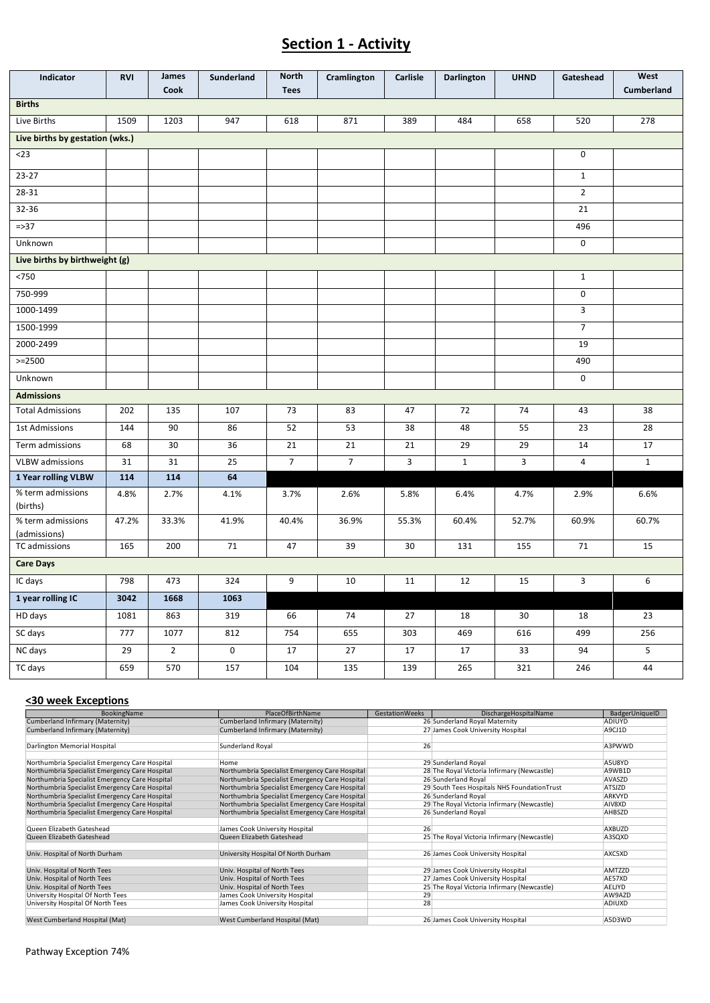#### **Section 1 - Activity**

| Indicator                         | <b>RVI</b>                      | James<br>Cook  | Sunderland | <b>North</b><br><b>Tees</b> | Cramlington    | Carlisle    | <b>Darlington</b> | <b>UHND</b> | Gateshead      | West<br>Cumberland |
|-----------------------------------|---------------------------------|----------------|------------|-----------------------------|----------------|-------------|-------------------|-------------|----------------|--------------------|
| <b>Births</b>                     |                                 |                |            |                             |                |             |                   |             |                |                    |
| Live Births                       | 1509                            | 1203           | 947        | 618                         | 871            | 389         | 484               | 658         | 520            | 278                |
|                                   | Live births by gestation (wks.) |                |            |                             |                |             |                   |             |                |                    |
| $<$ 23                            |                                 |                |            |                             |                |             |                   |             | 0              |                    |
| $23 - 27$                         |                                 |                |            |                             |                |             |                   |             | $\mathbf 1$    |                    |
| 28-31                             |                                 |                |            |                             |                |             |                   |             | $\overline{2}$ |                    |
| 32-36                             |                                 |                |            |                             |                |             |                   |             | 21             |                    |
| $= > 37$                          |                                 |                |            |                             |                |             |                   |             | 496            |                    |
| Unknown                           |                                 |                |            |                             |                |             |                   |             | $\mathsf 0$    |                    |
| Live births by birthweight (g)    |                                 |                |            |                             |                |             |                   |             |                |                    |
| < 750                             |                                 |                |            |                             |                |             |                   |             | $1\,$          |                    |
| 750-999                           |                                 |                |            |                             |                |             |                   |             | 0              |                    |
| 1000-1499                         |                                 |                |            |                             |                |             |                   |             | 3              |                    |
| 1500-1999                         |                                 |                |            |                             |                |             |                   |             | $\overline{7}$ |                    |
| 2000-2499                         |                                 |                |            |                             |                |             |                   |             | 19             |                    |
| $>=2500$                          |                                 |                |            |                             |                |             |                   |             | 490            |                    |
| Unknown                           |                                 |                |            |                             |                |             |                   |             | $\pmb{0}$      |                    |
| <b>Admissions</b>                 |                                 |                |            |                             |                |             |                   |             |                |                    |
| <b>Total Admissions</b>           | 202                             | 135            | 107        | 73                          | 83             | 47          | 72                | 74          | 43             | 38                 |
| 1st Admissions                    | 144                             | 90             | 86         | 52                          | 53             | 38          | 48                | 55          | 23             | 28                 |
| Term admissions                   | 68                              | 30             | 36         | 21                          | 21             | 21          | 29                | 29          | 14             | 17                 |
| <b>VLBW</b> admissions            | 31                              | 31             | 25         | $\overline{7}$              | $\overline{7}$ | $\mathsf 3$ | $\mathbf{1}$      | 3           | 4              | $\mathbf 1$        |
| 1 Year rolling VLBW               | 114                             | 114            | 64         |                             |                |             |                   |             |                |                    |
| % term admissions<br>(births)     | 4.8%                            | 2.7%           | 4.1%       | 3.7%                        | 2.6%           | 5.8%        | 6.4%              | 4.7%        | 2.9%           | 6.6%               |
| % term admissions<br>(admissions) | 47.2%                           | 33.3%          | 41.9%      | 40.4%                       | 36.9%          | 55.3%       | 60.4%             | 52.7%       | 60.9%          | 60.7%              |
| TC admissions                     | 165                             | 200            | 71         | 47                          | 39             | 30          | 131               | 155         | 71             | 15                 |
| <b>Care Days</b>                  |                                 |                |            |                             |                |             |                   |             |                |                    |
| IC days                           | 798                             | 473            | 324        | 9                           | 10             | 11          | 12                | 15          | 3              | 6                  |
| 1 year rolling IC                 | 3042                            | 1668           | 1063       |                             |                |             |                   |             |                |                    |
| HD days                           | 1081                            | 863            | 319        | 66                          | 74             | 27          | 18                | 30          | 18             | 23                 |
| SC days                           | 777                             | 1077           | 812        | 754                         | 655            | 303         | 469               | 616         | 499            | 256                |
| NC days                           | 29                              | $\overline{2}$ | $\pmb{0}$  | 17                          | 27             | 17          | 17                | 33          | 94             | 5                  |
| TC days                           | 659                             | 570            | 157        | 104                         | 135            | 139         | 265               | 321         | 246            | 44                 |

#### **<30 week Exceptions**

| BookingName                                    | PlaceOfBirthName                               | <b>GestationWeeks</b> | DischargeHospitalName                       | BadgerUniqueID |
|------------------------------------------------|------------------------------------------------|-----------------------|---------------------------------------------|----------------|
| Cumberland Infirmary (Maternity)               | Cumberland Infirmary (Maternity)               |                       | 26 Sunderland Royal Maternity               | ADIUYD         |
| Cumberland Infirmary (Maternity)               | Cumberland Infirmary (Maternity)               |                       | 27 James Cook University Hospital           | A9CJ1D         |
|                                                |                                                |                       |                                             |                |
| Darlington Memorial Hospital                   | Sunderland Royal                               | 26                    |                                             | A3PWWD         |
|                                                |                                                |                       |                                             |                |
| Northumbria Specialist Emergency Care Hospital | Home                                           |                       | 29 Sunderland Royal                         | A5U8YD         |
| Northumbria Specialist Emergency Care Hospital | Northumbria Specialist Emergency Care Hospital |                       | 28 The Royal Victoria Infirmary (Newcastle) | A9WB1D         |
| Northumbria Specialist Emergency Care Hospital | Northumbria Specialist Emergency Care Hospital |                       | 26 Sunderland Royal                         | AVASZD         |
| Northumbria Specialist Emergency Care Hospital | Northumbria Specialist Emergency Care Hospital |                       | 29 South Tees Hospitals NHS FoundationTrust | ATSJZD         |
| Northumbria Specialist Emergency Care Hospital | Northumbria Specialist Emergency Care Hospital |                       | 26 Sunderland Royal                         | ARKVYD         |
| Northumbria Specialist Emergency Care Hospital | Northumbria Specialist Emergency Care Hospital |                       | 29 The Royal Victoria Infirmary (Newcastle) | AIV8XD         |
| Northumbria Specialist Emergency Care Hospital | Northumbria Specialist Emergency Care Hospital |                       | 26 Sunderland Royal                         | AHBSZD         |
|                                                |                                                |                       |                                             |                |
| Queen Elizabeth Gateshead                      | James Cook University Hospital                 | 26                    |                                             | AXBUZD         |
| Queen Elizabeth Gateshead                      | Queen Elizabeth Gateshead                      |                       | 25 The Royal Victoria Infirmary (Newcastle) | A3SQXD         |
|                                                |                                                |                       |                                             |                |
| Univ. Hospital of North Durham                 | University Hospital Of North Durham            |                       | 26 James Cook University Hospital           | AXC5XD         |
|                                                |                                                |                       |                                             |                |
| Univ. Hospital of North Tees                   | Univ. Hospital of North Tees                   |                       | 29 James Cook University Hospital           | <b>AMTZZD</b>  |
| Univ. Hospital of North Tees                   | Univ. Hospital of North Tees                   |                       | 27 James Cook University Hospital           | AE57XD         |
| Univ. Hospital of North Tees                   | Univ. Hospital of North Tees                   |                       | 25 The Royal Victoria Infirmary (Newcastle) | AELIYD         |
| University Hospital Of North Tees              | James Cook University Hospital                 | 29                    |                                             | AW9AZD         |
| University Hospital Of North Tees              | James Cook University Hospital                 | 28                    |                                             | ADIUXD         |
| West Cumberland Hospital (Mat)                 | West Cumberland Hospital (Mat)                 |                       | 26 James Cook University Hospital           | A5D3WD         |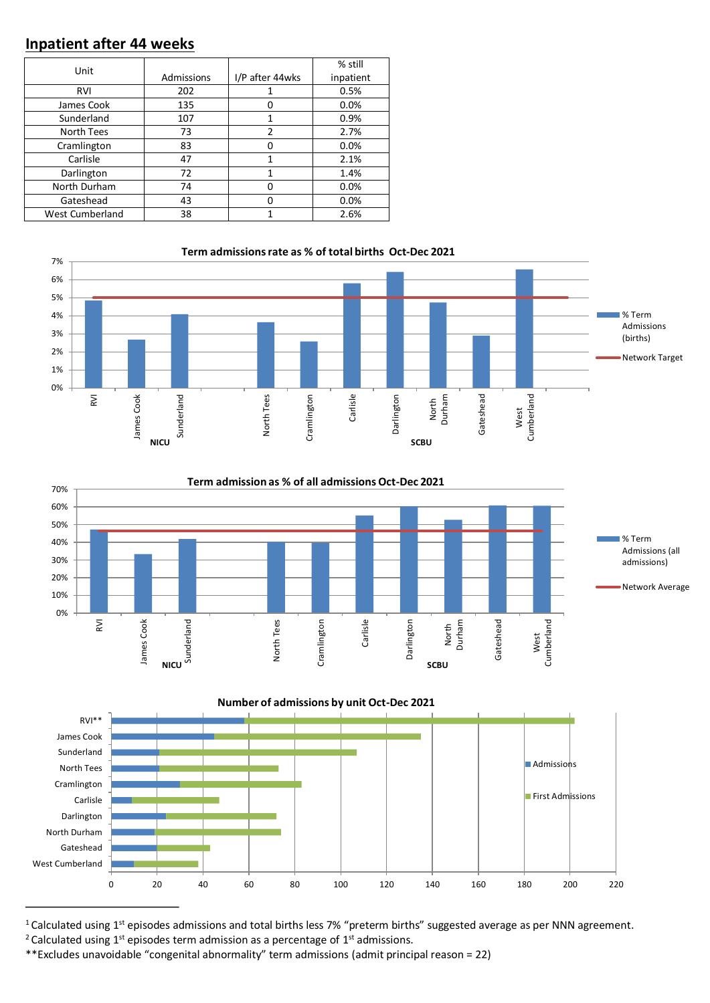### **Inpatient after 44 weeks**

| Unit            |            |                 | % still   |
|-----------------|------------|-----------------|-----------|
|                 | Admissions | I/P after 44wks | inpatient |
| RVI             | 202        |                 | 0.5%      |
| James Cook      | 135        | 0               | 0.0%      |
| Sunderland      | 107        | 1               | 0.9%      |
| North Tees      | 73         | 2               | 2.7%      |
| Cramlington     | 83         | 0               | 0.0%      |
| Carlisle        | 47         | 1               | 2.1%      |
| Darlington      | 72         | 1               | 1.4%      |
| North Durham    | 74         | $\Omega$        | 0.0%      |
| Gateshead       | 43         | O               | 0.0%      |
| West Cumberland | 38         |                 | 2.6%      |







 $1$  Calculated using  $1<sup>st</sup>$  episodes admissions and total births less 7% "preterm births" suggested average as per NNN agreement. <sup>2</sup> Calculated using 1<sup>st</sup> episodes term admission as a percentage of 1<sup>st</sup> admissions.

<sup>\*\*</sup>Excludes unavoidable "congenital abnormality" term admissions (admit principal reason = 22)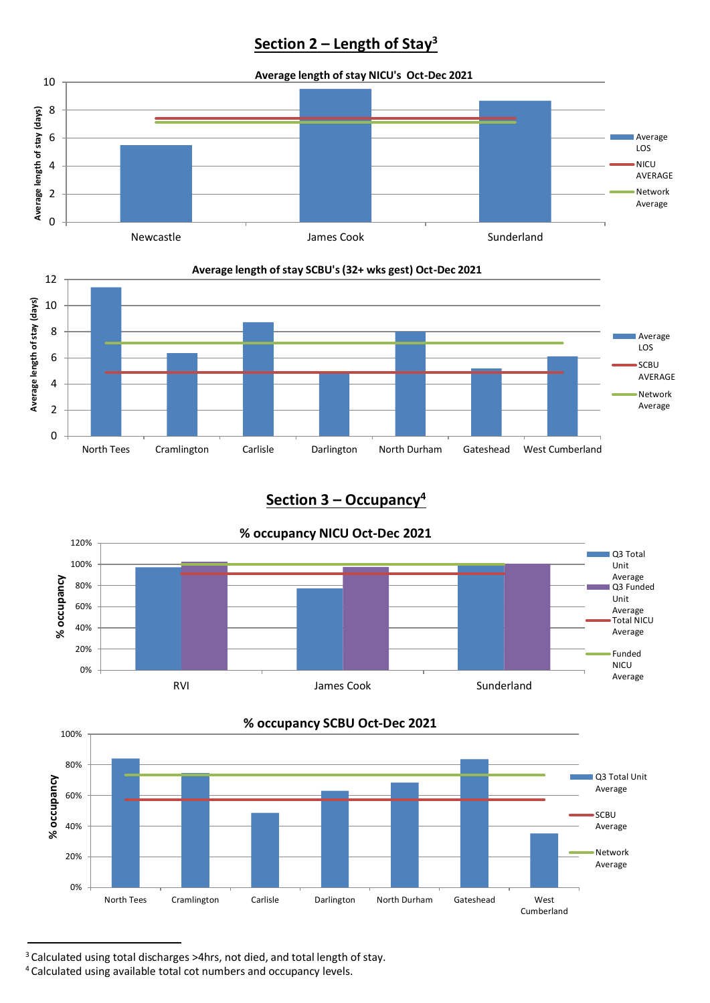# **Section 2 – Length of Stay<sup>3</sup>**





#### **Average length of stay SCBU's (32+ wks gest) Oct-Dec 2021**

## **Section 3 – Occupancy<sup>4</sup>**



**% occupancy SCBU Oct-Dec 2021**



<sup>3</sup> Calculated using total discharges >4hrs, not died, and total length of stay.

<sup>4</sup> Calculated using available total cot numbers and occupancy levels.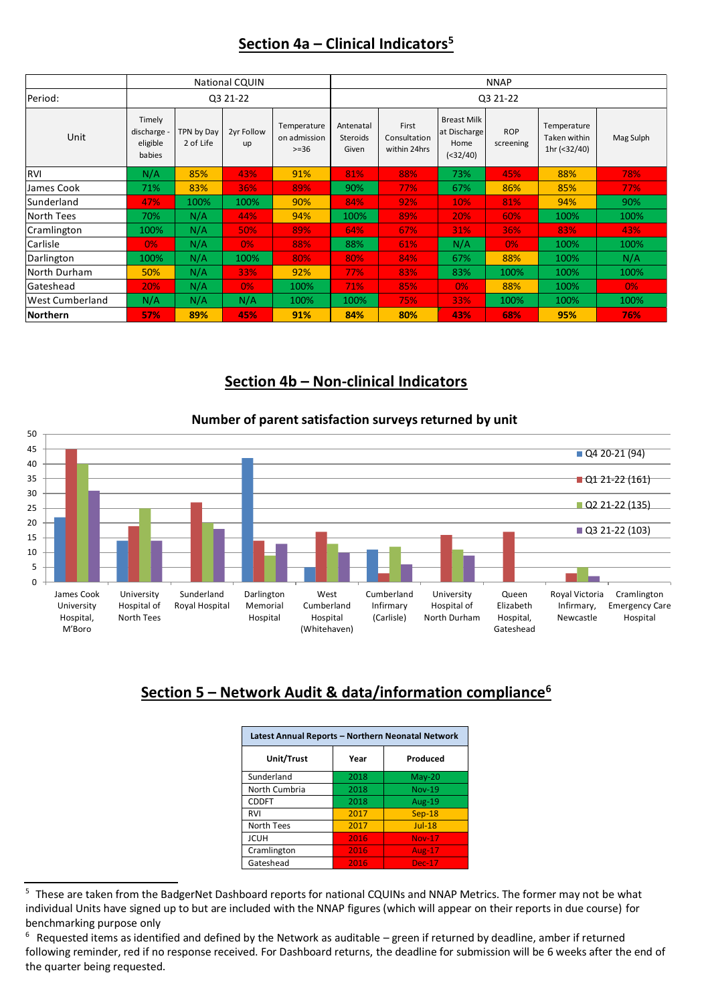#### **Section 4a – Clinical Indicators<sup>5</sup>**

|                        | <b>National CQUIN</b>                     |                         |                  | <b>NNAP</b>                            |                                |                                       |                                                         |                         |                                             |           |
|------------------------|-------------------------------------------|-------------------------|------------------|----------------------------------------|--------------------------------|---------------------------------------|---------------------------------------------------------|-------------------------|---------------------------------------------|-----------|
| Period:                | Q3 21-22                                  |                         |                  | Q3 21-22                               |                                |                                       |                                                         |                         |                                             |           |
| Unit                   | Timely<br>discharge<br>eligible<br>babies | TPN by Day<br>2 of Life | 2yr Follow<br>up | Temperature<br>on admission<br>$>= 36$ | Antenatal<br>Steroids<br>Given | First<br>Consultation<br>within 24hrs | <b>Breast Milk</b><br>at Discharge<br>Home<br>$(32/40)$ | <b>ROP</b><br>screening | Temperature<br>Taken within<br>1hr (<32/40) | Mag Sulph |
| <b>RVI</b>             | N/A                                       | 85%                     | 43%              | 91%                                    | 81%                            | 88%                                   | 73%                                                     | 45%                     | 88%                                         | 78%       |
| James Cook             | 71%                                       | 83%                     | 36%              | 89%                                    | 90%                            | 77%                                   | 67%                                                     | 86%                     | 85%                                         | 77%       |
| Sunderland             | 47%                                       | 100%                    | 100%             | 90%                                    | 84%                            | 92%                                   | 10%                                                     | 81%                     | 94%                                         | 90%       |
| <b>North Tees</b>      | 70%                                       | N/A                     | 44%              | 94%                                    | 100%                           | 89%                                   | 20%                                                     | 60%                     | 100%                                        | 100%      |
| Cramlington            | 100%                                      | N/A                     | 50%              | 89%                                    | 64%                            | 67%                                   | 31%                                                     | 36%                     | 83%                                         | 43%       |
| Carlisle               | $0\%$                                     | N/A                     | $0\%$            | 88%                                    | 88%                            | 61%                                   | N/A                                                     | 0%                      | 100%                                        | 100%      |
| Darlington             | 100%                                      | N/A                     | 100%             | 80%                                    | 80%                            | 84%                                   | 67%                                                     | 88%                     | 100%                                        | N/A       |
| North Durham           | 50%                                       | N/A                     | 33%              | 92%                                    | 77%                            | 83%                                   | 83%                                                     | 100%                    | 100%                                        | 100%      |
| Gateshead              | 20%                                       | N/A                     | $0\%$            | 100%                                   | 71%                            | 85%                                   | 0%                                                      | 88%                     | 100%                                        | $0\%$     |
| <b>West Cumberland</b> | N/A                                       | N/A                     | N/A              | 100%                                   | 100%                           | 75%                                   | 33%                                                     | 100%                    | 100%                                        | 100%      |
| <b>Northern</b>        | 57%                                       | 89%                     | 45%              | 91%                                    | 84%                            | 80%                                   | 43%                                                     | 68%                     | 95%                                         | 76%       |

#### **Section 4b – Non-clinical Indicators**





# **Section 5 – Network Audit & data/information compliance<sup>6</sup>**

| Latest Annual Reports - Northern Neonatal Network |      |               |  |  |  |
|---------------------------------------------------|------|---------------|--|--|--|
| Unit/Trust                                        | Year | Produced      |  |  |  |
| Sunderland                                        | 2018 | $May-20$      |  |  |  |
| North Cumbria                                     | 2018 | <b>Nov-19</b> |  |  |  |
| <b>CDDFT</b>                                      | 2018 | <b>Aug-19</b> |  |  |  |
| RVI                                               | 2017 | $Sep-18$      |  |  |  |
| North Tees                                        | 2017 | $Jul-18$      |  |  |  |
| <b>JCUH</b>                                       | 2016 | <b>Nov-17</b> |  |  |  |
| Cramlington                                       | 2016 | Aug- $17$     |  |  |  |
| Gateshead                                         | 2016 | <b>Dec-17</b> |  |  |  |

<sup>&</sup>lt;sup>5</sup> These are taken from the BadgerNet Dashboard reports for national CQUINs and NNAP Metrics. The former may not be what individual Units have signed up to but are included with the NNAP figures (which will appear on their reports in due course) for benchmarking purpose only

<sup>6</sup> Requested items as identified and defined by the Network as auditable – green if returned by deadline, amber if returned following reminder, red if no response received. For Dashboard returns, the deadline for submission will be 6 weeks after the end of the quarter being requested.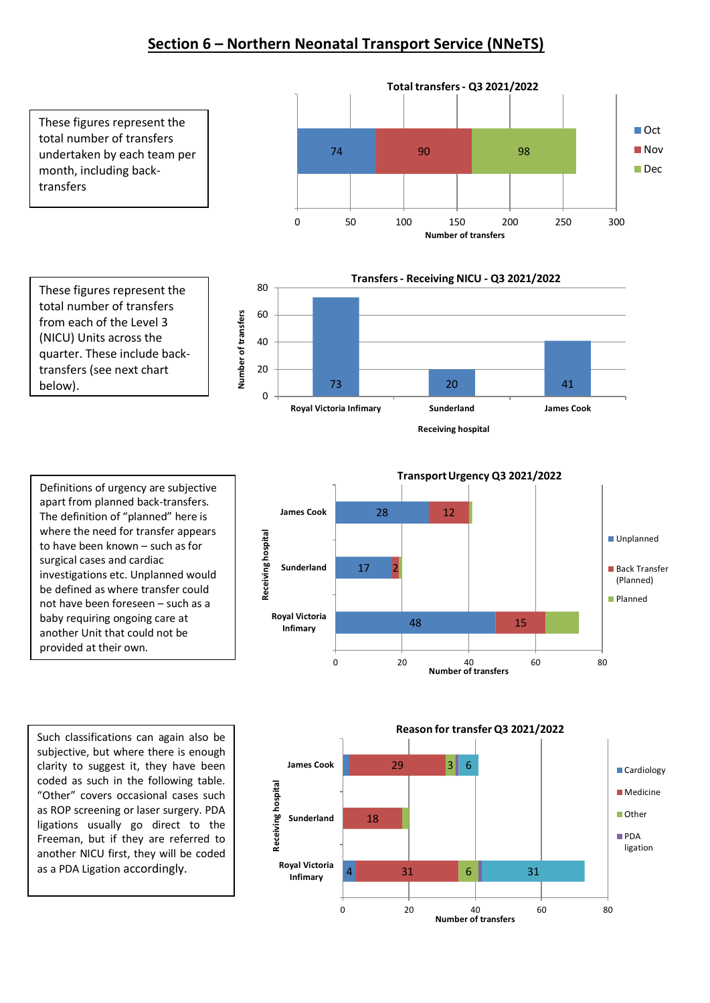#### **Section 6 – Northern Neonatal Transport Service (NNeTS)**



Definitions of urgency are subjective apart from planned back-transfers. The definition of "planned" here is where the need for transfer appears to have been known – such as for surgical cases and cardiac investigations etc. Unplanned would be defined as where transfer could not have been foreseen – such as a baby requiring ongoing care at another Unit that could not be provided at their own.

Such classifications can again also be subjective, but where there is enough clarity to suggest it, they have been coded as such in the following table. "Other" covers occasional cases such as ROP screening or laser surgery. PDA ligations usually go direct to the Freeman, but if they are referred to another NICU first, they will be coded as a PDA Ligation accordingly.